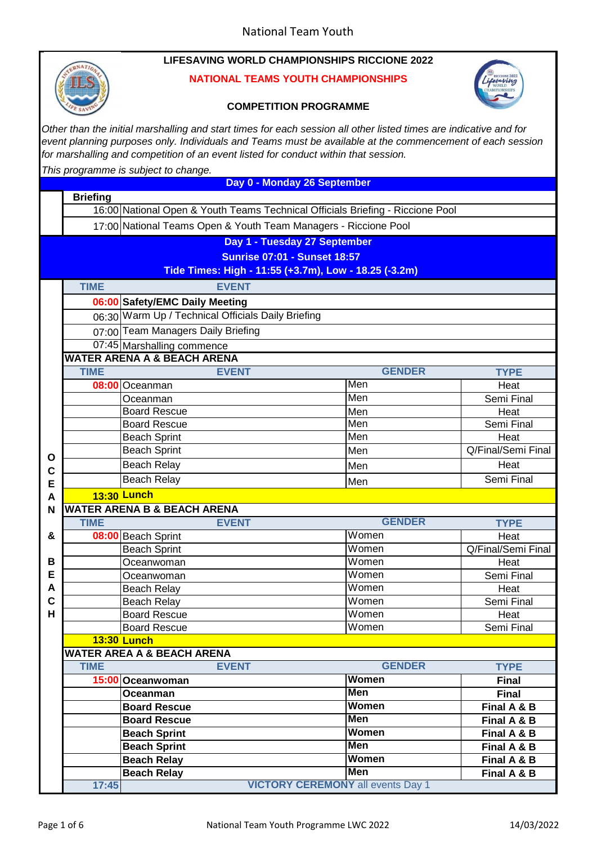

**Briefing**

#### **NATIONAL TEAMS YOUTH CHAMPIONSHIPS**



### **COMPETITION PROGRAMME**

*Other than the initial marshalling and start times for each session all other listed times are indicative and for event planning purposes only. Individuals and Teams must be available at the commencement of each session for marshalling and competition of an event listed for conduct within that session.*

*This programme is subject to change.*

**Day 0 - Monday 26 September**

16:00 National Open & Youth Teams Technical Officials Briefing - Riccione Pool

17:00 National Teams Open & Youth Team Managers - Riccione Pool

**Day 1 - Tuesday 27 September**

**Sunrise 07:01 - Sunset 18:57**

**Tide Times: High - 11:55 (+3.7m), Low - 18.25 (-3.2m)**

|                                                                      | <b>TIME</b>                                        | <b>EVENT</b>                             |               |                    |  |  |
|----------------------------------------------------------------------|----------------------------------------------------|------------------------------------------|---------------|--------------------|--|--|
| 06:00 Safety/EMC Daily Meeting                                       |                                                    |                                          |               |                    |  |  |
|                                                                      | 06:30 Warm Up / Technical Officials Daily Briefing |                                          |               |                    |  |  |
|                                                                      | 07:00 Team Managers Daily Briefing                 |                                          |               |                    |  |  |
| 07:45 Marshalling commence<br><b>WATER ARENA A &amp; BEACH ARENA</b> |                                                    |                                          |               |                    |  |  |
|                                                                      |                                                    |                                          |               |                    |  |  |
|                                                                      | <b>TIME</b>                                        | <b>EVENT</b>                             | <b>GENDER</b> | <b>TYPE</b>        |  |  |
|                                                                      |                                                    | 08:00 Oceanman                           | Men           | Heat               |  |  |
|                                                                      |                                                    | Oceanman                                 | Men           | Semi Final         |  |  |
|                                                                      |                                                    | <b>Board Rescue</b>                      | Men           | Heat               |  |  |
|                                                                      |                                                    | Board Rescue                             | Men           | Semi Final         |  |  |
|                                                                      |                                                    | <b>Beach Sprint</b>                      | Men           | Heat               |  |  |
| O                                                                    |                                                    | <b>Beach Sprint</b>                      | Men           | Q/Final/Semi Final |  |  |
| C                                                                    |                                                    | <b>Beach Relay</b>                       | Men           | Heat               |  |  |
| E                                                                    |                                                    | <b>Beach Relay</b>                       | Men           | Semi Final         |  |  |
| A                                                                    |                                                    | <b>13:30 Lunch</b>                       |               |                    |  |  |
| <b>WATER ARENA B &amp; BEACH ARENA</b><br>N                          |                                                    |                                          |               |                    |  |  |
|                                                                      | <b>TIME</b>                                        | <b>EVENT</b>                             | <b>GENDER</b> | <b>TYPE</b>        |  |  |
| &                                                                    |                                                    | 08:00 Beach Sprint                       | Women         | Heat               |  |  |
|                                                                      |                                                    | <b>Beach Sprint</b>                      | Women         | Q/Final/Semi Final |  |  |
| B                                                                    |                                                    | Oceanwoman                               | Women         | Heat               |  |  |
| E                                                                    |                                                    | Oceanwoman                               | Women         | Semi Final         |  |  |
| A                                                                    |                                                    | <b>Beach Relay</b>                       | Women         | Heat               |  |  |
| C                                                                    |                                                    | <b>Beach Relay</b>                       | Women         | Semi Final         |  |  |
| Н                                                                    |                                                    | <b>Board Rescue</b>                      | Women         | Heat               |  |  |
|                                                                      |                                                    | <b>Board Rescue</b>                      | Women         | Semi Final         |  |  |
|                                                                      |                                                    | <b>13:30 Lunch</b>                       |               |                    |  |  |
|                                                                      |                                                    | <b>WATER AREA A &amp; BEACH ARENA</b>    |               |                    |  |  |
|                                                                      | <b>TIME</b>                                        | <b>EVENT</b>                             | <b>GENDER</b> | <b>TYPE</b>        |  |  |
|                                                                      |                                                    | 15:00 Oceanwoman                         | Women         | <b>Final</b>       |  |  |
|                                                                      |                                                    | Oceanman                                 | <b>Men</b>    | <b>Final</b>       |  |  |
|                                                                      |                                                    | <b>Board Rescue</b>                      | Women         | Final A & B        |  |  |
|                                                                      |                                                    | <b>Board Rescue</b>                      | <b>Men</b>    | Final A & B        |  |  |
|                                                                      |                                                    | <b>Beach Sprint</b>                      | Women         | Final A & B        |  |  |
|                                                                      |                                                    | <b>Beach Sprint</b>                      | <b>Men</b>    | Final A & B        |  |  |
|                                                                      |                                                    | <b>Beach Relay</b>                       | Women         | Final A & B        |  |  |
|                                                                      |                                                    | <b>Beach Relay</b>                       | <b>Men</b>    | Final A & B        |  |  |
|                                                                      | 17:45                                              | <b>VICTORY CEREMONY all events Day 1</b> |               |                    |  |  |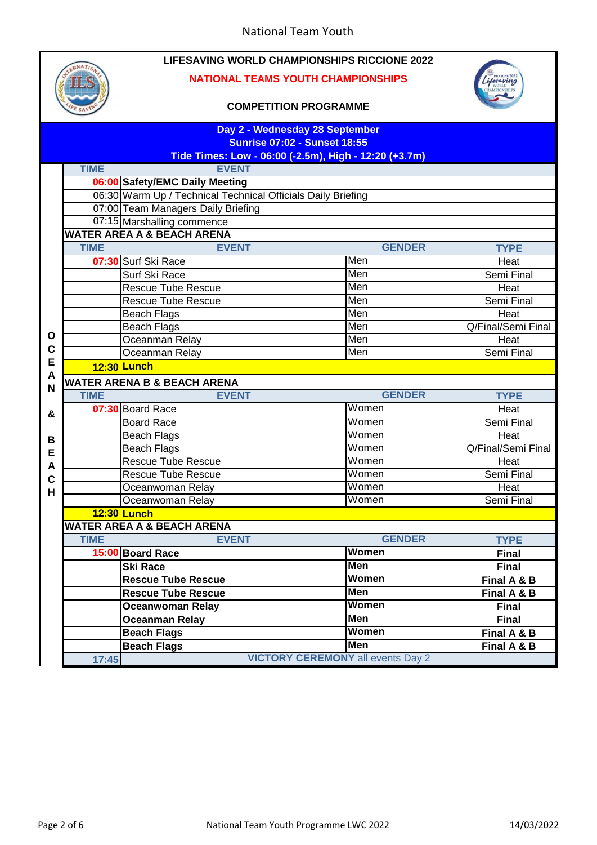

#### **NATIONAL TEAMS YOUTH CHAMPIONSHIPS**



|              | Day 2 - Wednesday 28 September                                                               |                                                              |               |                    |  |  |
|--------------|----------------------------------------------------------------------------------------------|--------------------------------------------------------------|---------------|--------------------|--|--|
|              | <b>Sunrise 07:02 - Sunset 18:55</b><br>Tide Times: Low - 06:00 (-2.5m), High - 12:20 (+3.7m) |                                                              |               |                    |  |  |
|              | <b>TIME</b>                                                                                  | <b>EVENT</b>                                                 |               |                    |  |  |
|              |                                                                                              | 06:00 Safety/EMC Daily Meeting                               |               |                    |  |  |
|              |                                                                                              | 06:30 Warm Up / Technical Technical Officials Daily Briefing |               |                    |  |  |
|              |                                                                                              | 07:00 Team Managers Daily Briefing                           |               |                    |  |  |
|              |                                                                                              | 07:15 Marshalling commence                                   |               |                    |  |  |
|              | <b>WATER AREA A &amp; BEACH ARENA</b>                                                        |                                                              |               |                    |  |  |
|              | <b>TIME</b>                                                                                  | <b>EVENT</b>                                                 | <b>GENDER</b> | <b>TYPE</b>        |  |  |
|              |                                                                                              | 07:30 Surf Ski Race                                          | Men           | Heat               |  |  |
|              |                                                                                              | Surf Ski Race                                                | Men           | Semi Final         |  |  |
|              |                                                                                              | Rescue Tube Rescue                                           | Men           | Heat               |  |  |
|              |                                                                                              | <b>Rescue Tube Rescue</b>                                    | Men           | Semi Final         |  |  |
|              |                                                                                              | <b>Beach Flags</b>                                           | Men           | Heat               |  |  |
|              |                                                                                              | <b>Beach Flags</b>                                           | Men           | Q/Final/Semi Final |  |  |
| $\mathbf{o}$ |                                                                                              | Oceanman Relay                                               | Men           | Heat               |  |  |
| C            |                                                                                              | Oceanman Relay                                               | Men           | Semi Final         |  |  |
| E            |                                                                                              | <b>12:30 Lunch</b>                                           |               |                    |  |  |
| A<br>N       |                                                                                              | <b>WATER ARENA B &amp; BEACH ARENA</b>                       |               |                    |  |  |
|              | <b>TIME</b>                                                                                  | <b>EVENT</b>                                                 | <b>GENDER</b> | <b>TYPE</b>        |  |  |
| &            |                                                                                              | 07:30 Board Race                                             | Women         | Heat               |  |  |
|              |                                                                                              | <b>Board Race</b>                                            | Women         | Semi Final         |  |  |
| B            |                                                                                              | <b>Beach Flags</b>                                           | Women         | Heat               |  |  |
| E            |                                                                                              | <b>Beach Flags</b>                                           | Women         | Q/Final/Semi Final |  |  |
| A            |                                                                                              | <b>Rescue Tube Rescue</b>                                    | Women         | Heat               |  |  |
| $\mathbf c$  |                                                                                              | <b>Rescue Tube Rescue</b>                                    | Women         | Semi Final         |  |  |
| Н            |                                                                                              | Oceanwoman Relay                                             | Women         | Heat               |  |  |
|              |                                                                                              | Oceanwoman Relay                                             | Women         | Semi Final         |  |  |
|              |                                                                                              | <b>12:30 Lunch</b>                                           |               |                    |  |  |
|              |                                                                                              | <b>WATER AREA A &amp; BEACH ARENA</b>                        |               |                    |  |  |
|              | <b>TIME</b>                                                                                  | <b>EVENT</b>                                                 | <b>GENDER</b> | <b>TYPE</b>        |  |  |
|              |                                                                                              | 15:00 Board Race                                             | <b>Women</b>  | <b>Final</b>       |  |  |
|              |                                                                                              | Ski Race                                                     | <b>Men</b>    | <b>Final</b>       |  |  |
|              |                                                                                              | <b>Rescue Tube Rescue</b>                                    | Women         | Final A & B        |  |  |
|              |                                                                                              | <b>Rescue Tube Rescue</b>                                    | <b>Men</b>    | Final A & B        |  |  |
|              |                                                                                              | <b>Oceanwoman Relay</b>                                      | <b>Women</b>  | <b>Final</b>       |  |  |
|              |                                                                                              | <b>Oceanman Relay</b>                                        | <b>Men</b>    | <b>Final</b>       |  |  |
|              |                                                                                              | <b>Beach Flags</b>                                           | <b>Women</b>  | Final A & B        |  |  |
|              |                                                                                              | <b>Beach Flags</b>                                           | Men           | Final A & B        |  |  |
|              | 17:45                                                                                        | <b>VICTORY CEREMONY</b> all events Day 2                     |               |                    |  |  |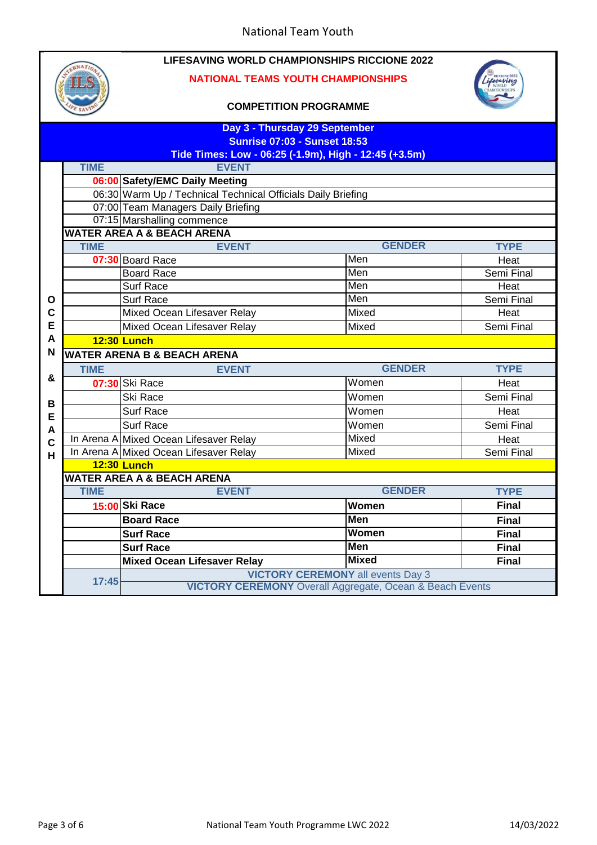

### **NATIONAL TEAMS YOUTH CHAMPIONSHIPS**



| Day 3 - Thursday 29 September<br><b>Sunrise 07:03 - Sunset 18:53</b><br>Tide Times: Low - 06:25 (-1.9m), High - 12:45 (+3.5m) |                                                                 |                                                              |               |              |  |
|-------------------------------------------------------------------------------------------------------------------------------|-----------------------------------------------------------------|--------------------------------------------------------------|---------------|--------------|--|
|                                                                                                                               | <b>TIME</b>                                                     | <b>EVENT</b>                                                 |               |              |  |
|                                                                                                                               |                                                                 | 06:00 Safety/EMC Daily Meeting                               |               |              |  |
|                                                                                                                               |                                                                 | 06:30 Warm Up / Technical Technical Officials Daily Briefing |               |              |  |
|                                                                                                                               |                                                                 | 07:00 Team Managers Daily Briefing                           |               |              |  |
|                                                                                                                               |                                                                 | 07:15 Marshalling commence                                   |               |              |  |
|                                                                                                                               | <b>WATER AREA A &amp; BEACH ARENA</b>                           |                                                              |               |              |  |
|                                                                                                                               | <b>TIME</b>                                                     | <b>EVENT</b>                                                 | <b>GENDER</b> | <b>TYPE</b>  |  |
|                                                                                                                               |                                                                 | 07:30 Board Race                                             | Men           | Heat         |  |
|                                                                                                                               |                                                                 | <b>Board Race</b>                                            | Men           | Semi Final   |  |
|                                                                                                                               |                                                                 | <b>Surf Race</b>                                             | Men           | Heat         |  |
| O                                                                                                                             |                                                                 | <b>Surf Race</b>                                             | Men           | Semi Final   |  |
| C                                                                                                                             |                                                                 | Mixed Ocean Lifesaver Relay                                  | Mixed         | Heat         |  |
| E                                                                                                                             |                                                                 | Mixed Ocean Lifesaver Relay                                  | Mixed         | Semi Final   |  |
| A                                                                                                                             | <b>12:30 Lunch</b>                                              |                                                              |               |              |  |
| N                                                                                                                             | <b>WATER ARENA B &amp; BEACH ARENA</b>                          |                                                              |               |              |  |
|                                                                                                                               | <b>TIME</b>                                                     | <b>EVENT</b>                                                 | <b>GENDER</b> | <b>TYPE</b>  |  |
| &                                                                                                                             |                                                                 | 07:30 Ski Race                                               | Women         | Heat         |  |
| B                                                                                                                             |                                                                 | <b>Ski Race</b>                                              | Women         | Semi Final   |  |
| E                                                                                                                             |                                                                 | <b>Surf Race</b>                                             | Women         | Heat         |  |
| A                                                                                                                             |                                                                 | <b>Surf Race</b>                                             | Women         | Semi Final   |  |
| $\mathbf C$                                                                                                                   |                                                                 | In Arena A Mixed Ocean Lifesaver Relay                       | Mixed         | Heat         |  |
| H                                                                                                                             |                                                                 | In Arena A Mixed Ocean Lifesaver Relay                       | Mixed         | Semi Final   |  |
|                                                                                                                               |                                                                 | <b>12:30 Lunch</b>                                           |               |              |  |
|                                                                                                                               |                                                                 | <b>WATER AREA A &amp; BEACH ARENA</b>                        |               |              |  |
|                                                                                                                               | <b>TIME</b>                                                     | <b>EVENT</b>                                                 | <b>GENDER</b> | <b>TYPE</b>  |  |
|                                                                                                                               |                                                                 | 15:00 Ski Race                                               | Women         | <b>Final</b> |  |
|                                                                                                                               |                                                                 | <b>Board Race</b>                                            | <b>Men</b>    | <b>Final</b> |  |
|                                                                                                                               |                                                                 | <b>Surf Race</b>                                             | <b>Women</b>  | <b>Final</b> |  |
|                                                                                                                               |                                                                 | <b>Surf Race</b>                                             | Men           | <b>Final</b> |  |
|                                                                                                                               |                                                                 | <b>Mixed Ocean Lifesaver Relay</b>                           | <b>Mixed</b>  | Final        |  |
|                                                                                                                               | 17:45                                                           | <b>VICTORY CEREMONY all events Day 3</b>                     |               |              |  |
|                                                                                                                               | <b>VICTORY CEREMONY</b> Overall Aggregate, Ocean & Beach Events |                                                              |               |              |  |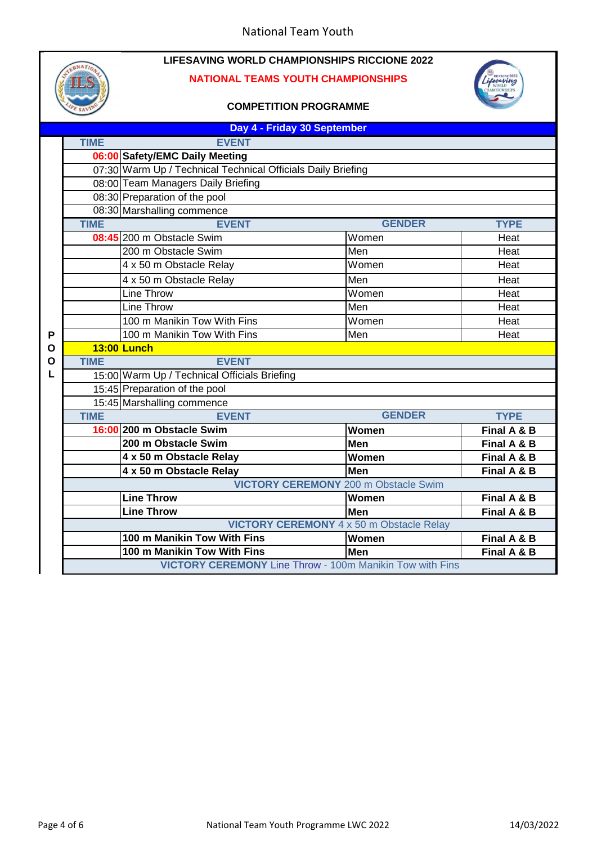### **NATIONAL TEAMS YOUTH CHAMPIONSHIPS**



|   | Day 4 - Friday 30 September |                                                                        |               |             |  |
|---|-----------------------------|------------------------------------------------------------------------|---------------|-------------|--|
|   | <b>TIME</b>                 | <b>EVENT</b>                                                           |               |             |  |
|   |                             | 06:00 Safety/EMC Daily Meeting                                         |               |             |  |
|   |                             | 07:30 Warm Up / Technical Technical Officials Daily Briefing           |               |             |  |
|   |                             | 08:00 Team Managers Daily Briefing                                     |               |             |  |
|   |                             | 08:30 Preparation of the pool                                          |               |             |  |
|   |                             | 08:30 Marshalling commence                                             |               |             |  |
|   | <b>TIME</b>                 | <b>EVENT</b>                                                           | <b>GENDER</b> | <b>TYPE</b> |  |
|   |                             | 08:45 200 m Obstacle Swim                                              | Women         | Heat        |  |
|   |                             | 200 m Obstacle Swim                                                    | Men           | Heat        |  |
|   |                             | 4 x 50 m Obstacle Relay                                                | Women         | Heat        |  |
|   |                             | 4 x 50 m Obstacle Relay                                                | Men           | Heat        |  |
|   |                             | Line Throw                                                             | Women         | Heat        |  |
|   |                             | <b>Line Throw</b>                                                      | Men           | Heat        |  |
|   |                             | 100 m Manikin Tow With Fins                                            | Women         | Heat        |  |
| Ρ |                             | 100 m Manikin Tow With Fins                                            | Men           | Heat        |  |
| O | <b>13:00 Lunch</b>          |                                                                        |               |             |  |
| O | <b>TIME</b>                 | <b>EVENT</b>                                                           |               |             |  |
| L |                             | 15:00 Warm Up / Technical Officials Briefing                           |               |             |  |
|   |                             | 15:45 Preparation of the pool                                          |               |             |  |
|   |                             | 15:45 Marshalling commence                                             |               |             |  |
|   | <b>TIME</b>                 | <b>EVENT</b>                                                           | <b>GENDER</b> | <b>TYPE</b> |  |
|   |                             | 16:00 200 m Obstacle Swim                                              | Women         | Final A & B |  |
|   |                             | 200 m Obstacle Swim                                                    | <b>Men</b>    | Final A & B |  |
|   |                             | 4 x 50 m Obstacle Relay                                                | Women         | Final A & B |  |
|   |                             | 4 x 50 m Obstacle Relay<br><b>VICTORY CEREMONY</b> 200 m Obstacle Swim | <b>Men</b>    | Final A & B |  |
|   |                             | <b>Line Throw</b>                                                      | Women         | Final A & B |  |
|   |                             |                                                                        | Men           | Final A & B |  |
|   |                             | <b>Line Throw</b><br><b>VICTORY CEREMONY 4 x 50 m Obstacle Relay</b>   |               |             |  |
|   |                             | 100 m Manikin Tow With Fins                                            | Women         | Final A & B |  |
|   |                             | 100 m Manikin Tow With Fins                                            | <b>Men</b>    | Final A & B |  |
|   |                             | <b>VICTORY CEREMONY Line Throw - 100m Manikin Tow with Fins</b>        |               |             |  |
|   |                             |                                                                        |               |             |  |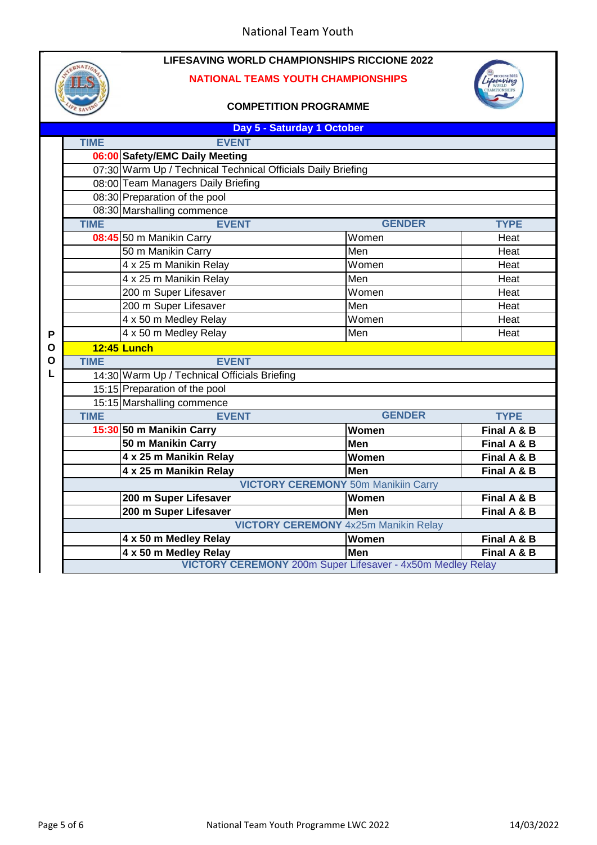### **NATIONAL TEAMS YOUTH CHAMPIONSHIPS**



|                                             | Day 5 - Saturday 1 October                   |                                                                   |               |             |  |
|---------------------------------------------|----------------------------------------------|-------------------------------------------------------------------|---------------|-------------|--|
|                                             | <b>TIME</b>                                  | <b>EVENT</b>                                                      |               |             |  |
|                                             |                                              | 06:00 Safety/EMC Daily Meeting                                    |               |             |  |
|                                             |                                              | 07:30 Warm Up / Technical Technical Officials Daily Briefing      |               |             |  |
|                                             |                                              | 08:00 Team Managers Daily Briefing                                |               |             |  |
|                                             |                                              | 08:30 Preparation of the pool                                     |               |             |  |
|                                             |                                              | 08:30 Marshalling commence                                        |               |             |  |
|                                             | <b>TIME</b>                                  | <b>EVENT</b>                                                      | <b>GENDER</b> | <b>TYPE</b> |  |
|                                             |                                              | 08:45 50 m Manikin Carry                                          | Women         | Heat        |  |
|                                             |                                              | 50 m Manikin Carry                                                | Men           | Heat        |  |
|                                             |                                              | 4 x 25 m Manikin Relay                                            | Women         | Heat        |  |
|                                             |                                              | 4 x 25 m Manikin Relay                                            | Men           | Heat        |  |
|                                             |                                              | 200 m Super Lifesaver                                             | Women         | Heat        |  |
|                                             |                                              | 200 m Super Lifesaver                                             | Men           | Heat        |  |
|                                             |                                              | 4 x 50 m Medley Relay                                             | Women         | Heat        |  |
| Ρ                                           |                                              | 4 x 50 m Medley Relay                                             | Men           | Heat        |  |
| O                                           | <b>12:45 Lunch</b>                           |                                                                   |               |             |  |
| O                                           | <b>TIME</b>                                  | <b>EVENT</b>                                                      |               |             |  |
| L                                           | 14:30 Warm Up / Technical Officials Briefing |                                                                   |               |             |  |
|                                             |                                              | 15:15 Preparation of the pool                                     |               |             |  |
|                                             |                                              | 15:15 Marshalling commence                                        |               |             |  |
|                                             | <b>TIME</b>                                  | <b>EVENT</b>                                                      | <b>GENDER</b> | <b>TYPE</b> |  |
|                                             |                                              | 15:30 50 m Manikin Carry                                          | Women         | Final A & B |  |
|                                             |                                              | 50 m Manikin Carry                                                | <b>Men</b>    | Final A & B |  |
|                                             |                                              | 4 x 25 m Manikin Relay                                            | Women         | Final A & B |  |
|                                             |                                              | 4 x 25 m Manikin Relay                                            | <b>Men</b>    | Final A & B |  |
|                                             | <b>VICTORY CEREMONY 50m Manikiin Carry</b>   |                                                                   |               |             |  |
|                                             |                                              | 200 m Super Lifesaver                                             | Women         | Final A & B |  |
|                                             |                                              | 200 m Super Lifesaver                                             | Men           | Final A & B |  |
| <b>VICTORY CEREMONY</b> 4x25m Manikin Relay |                                              |                                                                   |               |             |  |
|                                             |                                              | 4 x 50 m Medley Relay                                             | Women         | Final A & B |  |
|                                             |                                              | 4 x 50 m Medley Relay                                             | Men           | Final A & B |  |
|                                             |                                              | <b>VICTORY CEREMONY</b> 200m Super Lifesaver - 4x50m Medley Relay |               |             |  |